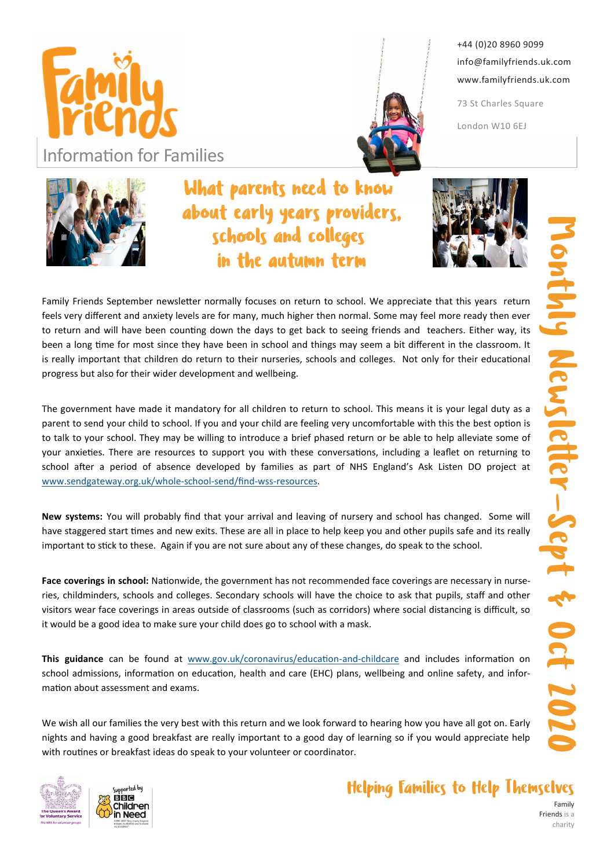

**Information for Families** 



+44 (0)20 8960 9099 info@familyfriends.uk.com www.familyfriends.uk.com

73 St Charles Square London W10 6EJ

## What parents need to know about early years providers, schools and colleges in the autumn term



Family Friends September newsletter normally focuses on return to school. We appreciate that this years return feels very different and anxiety levels are for many, much higher then normal. Some may feel more ready then ever to return and will have been counting down the days to get back to seeing friends and teachers. Either way, its been a long time for most since they have been in school and things may seem a bit different in the classroom. It is really important that children do return to their nurseries, schools and colleges. Not only for their educational progress but also for their wider development and wellbeing.

The government have made it mandatory for all children to return to school. This means it is your legal duty as a parent to send your child to school. If you and your child are feeling very uncomfortable with this the best option is to talk to your school. They may be willing to introduce a brief phased return or be able to help alleviate some of your anxieties. There are resources to support you with these conversations, including a leaflet on returning to school after a period of absence developed by families as part of NHS England's Ask Listen DO project at www.sendgateway.org.uk/whole-school-send/find-wss-resources.

New systems: You will probably find that your arrival and leaving of nursery and school has changed. Some will have staggered start times and new exits. These are all in place to help keep you and other pupils safe and its really important to stick to these. Again if you are not sure about any of these changes, do speak to the school.

Face coverings in school: Nationwide, the government has not recommended face coverings are necessary in nurseries, childminders, schools and colleges. Secondary schools will have the choice to ask that pupils, staff and other visitors wear face coverings in areas outside of classrooms (such as corridors) where social distancing is difficult, so it would be a good idea to make sure your child does go to school with a mask.

This guidance can be found at www.gov.uk/coronavirus/education-and-childcare and includes information on school admissions, information on education, health and care (EHC) plans, wellbeing and online safety, and information about assessment and exams.

We wish all our families the very best with this return and we look forward to hearing how you have all got on. Early nights and having a good breakfast are really important to a good day of learning so if you would appreciate help with routines or breakfast ideas do speak to your volunteer or coordinator.



## Helping Families to Help Themselves

Family Friends is a charity

Monthly Newsletter-Sept & Oct 2020 S Iy Newsletter-Sept & Oct 2026